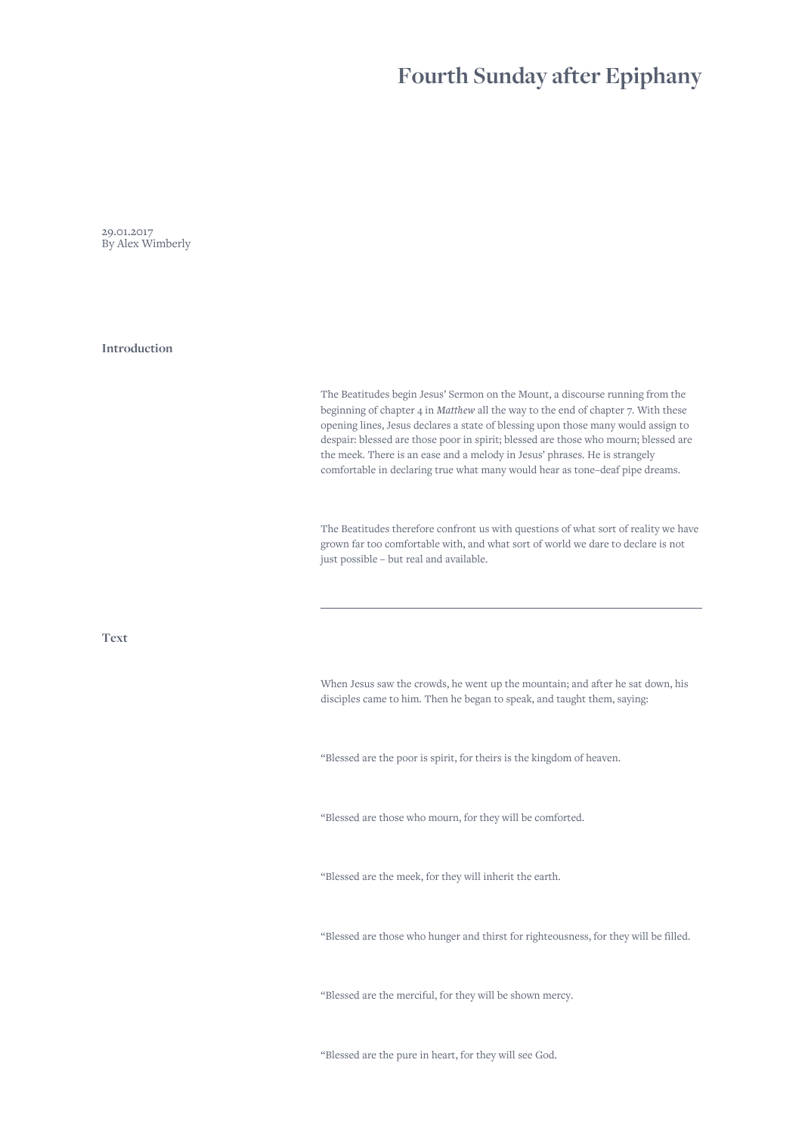## **Fourth Sunday after Epiphany**

29.01.2017 By Alex Wimberly

**Introduction**

The Beatitudes begin Jesus' Sermon on the Mount, a discourse running from the beginning of chapter 4 in *Matthew* all the way to the end of chapter 7. With these opening lines, Jesus declares a state of blessing upon those many would assign to despair: blessed are those poor in spirit; blessed are those who mourn; blessed are the meek. There is an ease and a melody in Jesus' phrases. He is strangely comfortable in declaring true what many would hear as tone–deaf pipe dreams.

The Beatitudes therefore confront us with questions of what sort of reality we have grown far too comfortable with, and what sort of world we dare to declare is not just possible – but real and available.

**Text**

When Jesus saw the crowds, he went up the mountain; and after he sat down, his disciples came to him. Then he began to speak, and taught them, saying:

"Blessed are the poor is spirit, for theirs is the kingdom of heaven.

"Blessed are those who mourn, for they will be comforted.

"Blessed are the meek, for they will inherit the earth.

"Blessed are those who hunger and thirst for righteousness, for they will be filled.

"Blessed are the merciful, for they will be shown mercy.

"Blessed are the pure in heart, for they will see God.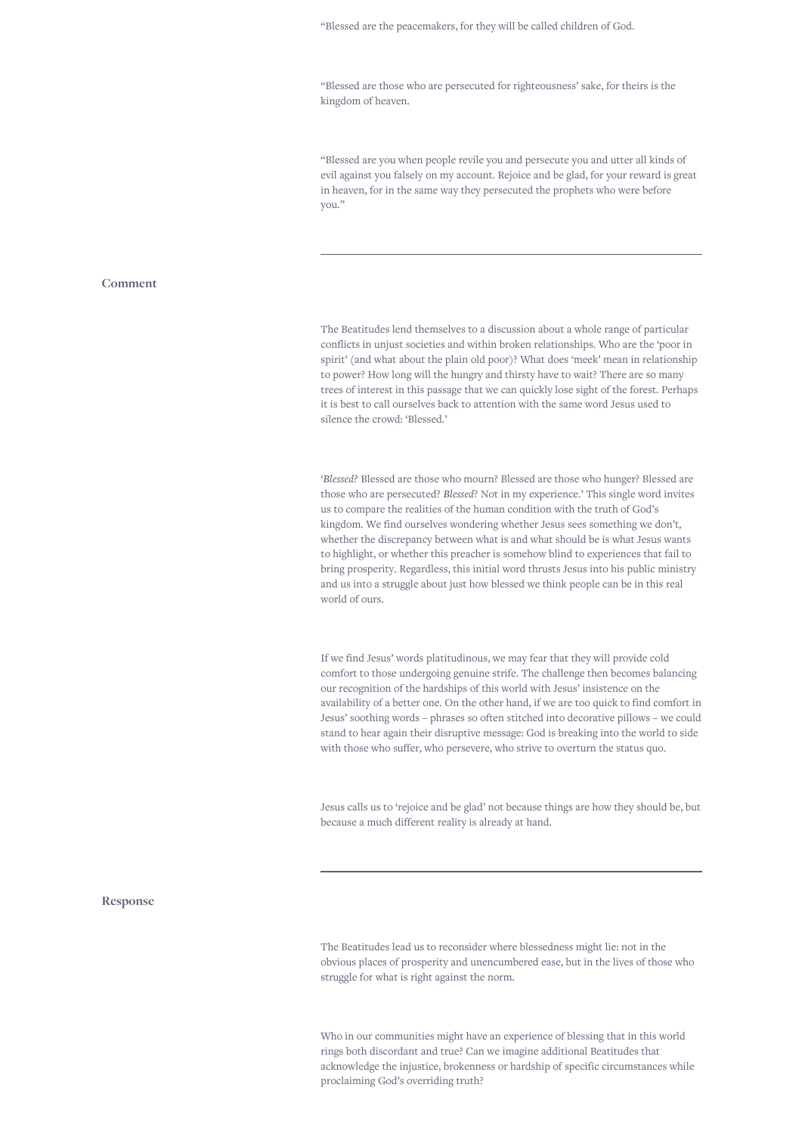"Blessed are those who are persecuted for righteousness' sake, for theirs is the kingdom of heaven.

"Blessed are you when people revile you and persecute you and utter all kinds of evil against you falsely on my account. Rejoice and be glad, for your reward is great in heaven, for in the same way they persecuted the prophets who were before you."

## **Comment**

The Beatitudes lend themselves to a discussion about a whole range of particular conflicts in unjust societies and within broken relationships. Who are the 'poor in spirit' (and what about the plain old poor)? What does 'meek' mean in relationship to power? How long will the hungry and thirsty have to wait? There are so many trees of interest in this passage that we can quickly lose sight of the forest. Perhaps it is best to call ourselves back to attention with the same word Jesus used to silence the crowd: 'Blessed.'

'*Blessed?* Blessed are those who mourn? Blessed are those who hunger? Blessed are those who are persecuted? *Blessed*? Not in my experience.' This single word invites us to compare the realities of the human condition with the truth of God's kingdom. We find ourselves wondering whether Jesus sees something we don't, whether the discrepancy between what is and what should be is what Jesus wants to highlight, or whether this preacher is somehow blind to experiences that fail to bring prosperity. Regardless, this initial word thrusts Jesus into his public ministry and us into a struggle about just how blessed we think people can be in this real world of ours.

If we find Jesus' words platitudinous, we may fear that they will provide cold comfort to those undergoing genuine strife. The challenge then becomes balancing our recognition of the hardships of this world with Jesus' insistence on the availability of a better one. On the other hand, if we are too quick to find comfort in Jesus' soothing words – phrases so often stitched into decorative pillows – we could stand to hear again their disruptive message: God is breaking into the world to side with those who suffer, who persevere, who strive to overturn the status quo.

Jesus calls us to 'rejoice and be glad' not because things are how they should be, but because a much different reality is already at hand.

## **Response**

The Beatitudes lead us to reconsider where blessedness might lie: not in the obvious places of prosperity and unencumbered ease, but in the lives of those who struggle for what is right against the norm.

Who in our communities might have an experience of blessing that in this world rings both discordant and true? Can we imagine additional Beatitudes that acknowledge the injustice, brokenness or hardship of specific circumstances while proclaiming God's overriding truth?